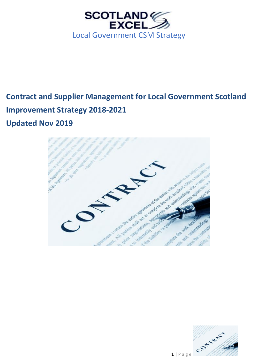

# **Contract and Supplier Management for Local Government Scotland Improvement Strategy 2018-2021 Updated Nov 2019**



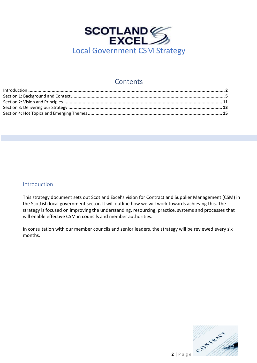

## Contents

| Introduction 2 |  |
|----------------|--|
|                |  |
|                |  |
|                |  |
|                |  |

## <span id="page-1-0"></span>Introduction

This strategy document sets out Scotland Excel's vision for Contract and Supplier Management (CSM) in the Scottish local government sector. It will outline how we will work towards achieving this. The strategy is focused on improving the understanding, resourcing, practice, systems and processes that will enable effective CSM in councils and member authorities.

In consultation with our member councils and senior leaders, the strategy will be reviewed every six months.

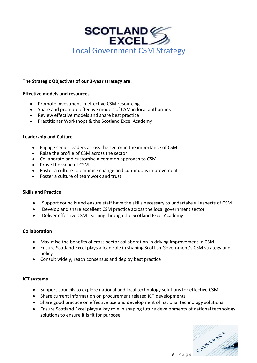

## **The Strategic Objectives of our 3-year strategy are:**

## **Effective models and resources**

- Promote investment in effective CSM resourcing
- Share and promote effective models of CSM in local authorities
- Review effective models and share best practice
- Practitioner Workshops & the Scotland Excel Academy

## **Leadership and Culture**

- Engage senior leaders across the sector in the importance of CSM
- Raise the profile of CSM across the sector
- Collaborate and customise a common approach to CSM
- Prove the value of CSM
- Foster a culture to embrace change and continuous improvement
- Foster a culture of teamwork and trust

## **Skills and Practice**

- Support councils and ensure staff have the skills necessary to undertake all aspects of CSM
- Develop and share excellent CSM practice across the local government sector
- Deliver effective CSM learning through the Scotland Excel Academy

## **Collaboration**

- Maximise the benefits of cross-sector collaboration in driving improvement in CSM
- Ensure Scotland Excel plays a lead role in shaping Scottish Government's CSM strategy and policy
- Consult widely, reach consensus and deploy best practice

## **ICT systems**

- Support councils to explore national and local technology solutions for effective CSM
- Share current information on procurement related ICT developments
- Share good practice on effective use and development of national technology solutions
- Ensure Scotland Excel plays a key role in shaping future developments of national technology solutions to ensure it is fit for purpose

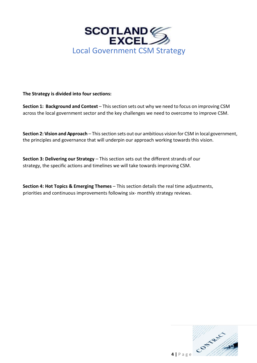

## **The Strategy is divided into four sections:**

**Section 1: Background and Context** – This section sets out why we need to focus on improving CSM across the local government sector and the key challenges we need to overcome to improve CSM.

**Section 2: Vision and Approach** – This section sets out our ambitious vision for CSM in local government, the principles and governance that will underpin our approach working towards this vision.

**Section 3: Delivering our Strategy - This section sets out the different strands of our** strategy, the specific actions and timelines we will take towards improving CSM.

**Section 4: Hot Topics & Emerging Themes** – This section details the real time adjustments, priorities and continuous improvements following six- monthly strategy reviews.

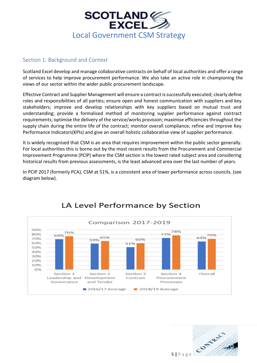

## <span id="page-4-0"></span>Section 1: Background and Context

Scotland Excel develop and manage collaborative contracts on behalf of local authorities and offer a range of services to help improve procurement performance. We also take an active role in championing the views of our sector within the wider public procurement landscape.

Effective Contract and Supplier Management will ensure a contract is successfully executed; clearly define roles and responsibilities of all parties; ensure open and honest communication with suppliers and key stakeholders; improve and develop relationships with key suppliers based on mutual trust and understanding; provide a formalised method of monitoring supplier performance against contract requirements; optimise the delivery of the service/works provision; maximise efficiencies throughout the supply chain during the entire life of the contract; monitor overall compliance; refine and improve Key Performance Indicators(KPIs) and give an overall holistic collaborative view of supplier performance.

It is widely recognised that CSM is an area that requires improvement within the public sector generally. For local authorities this is borne out by the most recent results from the Procurement and Commercial Improvement Programme (PCIP) where the CSM section is the lowest rated subject area and considering historical results from previous assessments, is the least advanced area over the last number of years.

In PCIP 2017 (formerly PCA), CSM at 51%, is a consistent area of lower performance across councils. (see diagram below).



# LA Level Performance by Section

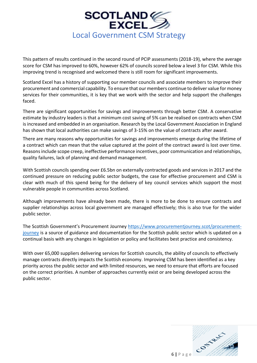

This pattern of results continued in the second round of PCIP assessments (2018-19), where the average score for CSM has improved to 60%, however 62% of councils scored below a level 3 for CSM. While this improving trend is recognised and welcomed there is still room for significant improvements.

Scotland Excel has a history of supporting our member councils and associate members to improve their procurement and commercial capability. To ensure that our members continue to deliver value for money services for their communities, it is key that we work with the sector and help support the challenges faced.

There are significant opportunities for savings and improvements through better CSM. A conservative estimate by industry leaders is that a minimum cost saving of 5% can be realised on contracts when CSM is increased and embedded in an organisation. [Research by the Local Government Association i](https://www.local.gov.uk/sites/default/files/documents/making-savings-contract-m-b8d.pdf)n England has shown that local authorities can make savings of 3-15% on the value of contracts after award.

There are many reasons why opportunities for savings and improvements emerge during the lifetime of a contract which can mean that the value captured at the point of the contract award is lost over time. Reasons include scope creep, ineffective performance incentives, poor communication and relationships, quality failures, lack of planning and demand management.

With Scottish councils spending over £6.5bn on externally contracted goods and services in 2017 and the continued pressure on reducing public sector budgets, the case for effective procurement and CSM is clear with much of this spend being for the delivery of key council services which support the most vulnerable people in communities across Scotland.

Although improvements have already been made, there is more to be done to ensure contracts and supplier relationships across local government are managed effectively; this is also true for the wider public sector.

The Scottish Government's Procurement Journey [https://www.procurementjourney.scot/procurement](https://www.procurementjourney.scot/procurement-journey)[journey](https://www.procurementjourney.scot/procurement-journey) is a source of guidance and documentation for the Scottish public sector which is updated on a continual basis with any changes in legislation or policy and facilitates best practice and consistency.

With over 65,000 suppliers delivering services for Scottish councils, the ability of councils to effectively manage contracts directly impacts the Scottish economy. Improving CSM has been identified as a key priority across the public sector and with limited resources, we need to ensure that efforts are focused on the correct priorities. A number of approaches currently exist or are being developed across the public sector.

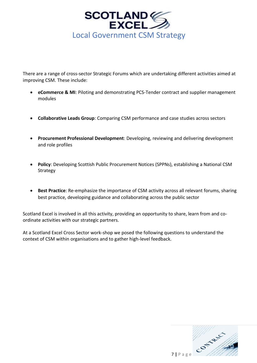

There are a range of cross-sector Strategic Forums which are undertaking different activities aimed at improving CSM. These include:

- **eCommerce & MI**: Piloting and demonstrating PCS-Tender contract and supplier management modules
- **Collaborative Leads Group**: Comparing CSM performance and case studies across sectors
- **Procurement Professional Development**: Developing, reviewing and delivering development and role profiles
- **Policy**: Developing Scottish Public Procurement Notices (SPPNs), establishing a National CSM Strategy
- **Best Practice**: Re-emphasize the importance of CSM activity across all relevant forums, sharing best practice, developing guidance and collaborating across the public sector

Scotland Excel is involved in all this activity, providing an opportunity to share, learn from and coordinate activities with our strategic partners.

At a Scotland Excel Cross Sector work-shop we posed the following questions to understand the context of CSM within organisations and to gather high-level feedback.

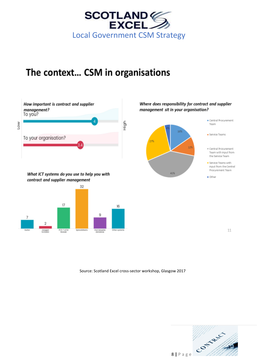

# The context... CSM in organisations



What ICT systems do you use to help you with contract and supplier management



## Where does responsibility for contract and supplier management sit in your organisation?



11

Source: Scotland Excel cross-sector workshop, Glasgow 2017

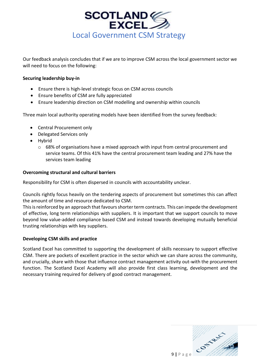

Our feedback analysis concludes that if we are to improve CSM across the local government sector we will need to focus on the following:

## **Securing leadership buy-in**

- Ensure there is high-level strategic focus on CSM across councils
- Ensure benefits of CSM are fully appreciated
- Ensure leadership direction on CSM modelling and ownership within councils

Three main local authority operating models have been identified from the survey feedback:

- Central Procurement only
- Delegated Services only
- Hybrid
	- $\circ$  68% of organisations have a mixed approach with input from central procurement and service teams. Of this 41% have the central procurement team leading and 27% have the services team leading

## **Overcoming structural and cultural barriers**

Responsibility for CSM is often dispersed in councils with accountability unclear.

Councils rightly focus heavily on the tendering aspects of procurement but sometimes this can affect the amount of time and resource dedicated to CSM.

This is reinforced by an approach that favours shorter term contracts. This can impede the development of effective, long term relationships with suppliers. It is important that we support councils to move beyond low value-added compliance based CSM and instead towards developing mutually beneficial trusting relationships with key suppliers.

## **Developing CSM skills and practice**

Scotland Excel has committed to supporting the development of skills necessary to support effective CSM. There are pockets of excellent practice in the sector which we can share across the community, and crucially, share with those that influence contract management activity out-with the procurement function. The Scotland Excel Academy will also provide first class learning, development and the necessary training required for delivery of good contract management.

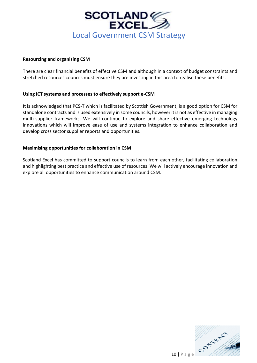

## **Resourcing and organising CSM**

There are clear financial benefits of effective CSM and although in a context of budget constraints and stretched resources councils must ensure they are investing in this area to realise these benefits.

## **Using ICT systems and processes to effectively support e-CSM**

It is acknowledged that PCS-T which is facilitated by Scottish Government, is a good option for CSM for standalone contracts and is used extensively in some councils, however it is not as effective in managing multi-supplier frameworks. We will continue to explore and share effective emerging technology innovations which will improve ease of use and systems integration to enhance collaboration and develop cross sector supplier reports and opportunities.

## **Maximising opportunities for collaboration in CSM**

Scotland Excel has committed to support councils to learn from each other, facilitating collaboration and highlighting best practice and effective use of resources. We will actively encourage innovation and explore all opportunities to enhance communication around CSM.

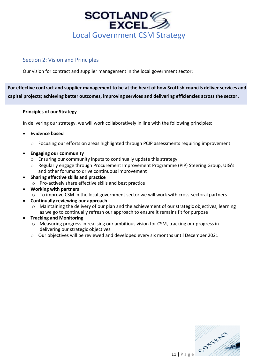

## <span id="page-10-0"></span>Section 2: Vision and Principles

Our vision for contract and supplier management in the local government sector:

**For effective contract and supplier management to be at the heart of how Scottish councils deliver services and capital projects; achieving better outcomes, improving services and delivering efficiencies across the sector***.*

## **Principles of our Strategy**

In delivering our strategy, we will work collaboratively in line with the following principles:

## • **Evidence based**

- o Focusing our efforts on areas highlighted through PCIP assessments requiring improvement
- **Engaging our community**
	- o Ensuring our community inputs to continually update this strategy
	- o Regularly engage through Procurement Improvement Programme (PIP) Steering Group, UIG's and other forums to drive continuous improvement
- **Sharing effective skills and practice**
	- o Pro-actively share effective skills and best practice
- **Working with partners**
	- o To improve CSM in the local government sector we will work with cross-sectoral partners
- **Continually reviewing our approach**
	- o Maintaining the delivery of our plan and the achievement of our strategic objectives, learning as we go to continually refresh our approach to ensure it remains fit for purpose
- **Tracking and Monitoring**
	- o Measuring progress in realising our ambitious vision for CSM, tracking our progress in delivering our strategic objectives
	- o Our objectives will be reviewed and developed every six months until December 2021

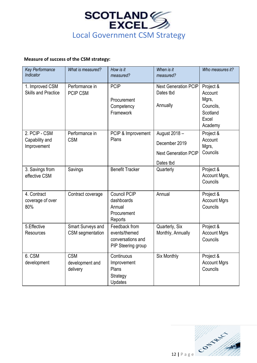

## **Measure of success of the CSM strategy:**

| <b>Key Performance</b><br>Indicator            | What is measured?                         | How is it<br>measured?                                                    | When is it<br>measured?                                                    | Who measures it?                                                           |
|------------------------------------------------|-------------------------------------------|---------------------------------------------------------------------------|----------------------------------------------------------------------------|----------------------------------------------------------------------------|
| 1. Improved CSM<br><b>Skills and Practice</b>  | Performance in<br><b>PCIP CSM</b>         | <b>PCIP</b><br>Procurement<br>Competency<br>Framework                     | <b>Next Generation PCIP</b><br>Dates tbd<br>Annually                       | Project &<br>Account<br>Mgrs,<br>Councils,<br>Scotland<br>Excel<br>Academy |
| 2. PCIP - CSM<br>Capability and<br>Improvement | Performance in<br><b>CSM</b>              | PCIP & Improvement<br>Plans                                               | August 2018 -<br>December 2019<br><b>Next Generation PCIP</b><br>Dates tbd | Project &<br>Account<br>Mgrs,<br>Councils                                  |
| 3. Savings from<br>effective CSM               | Savings                                   | <b>Benefit Tracker</b>                                                    | Quarterly                                                                  | Project &<br>Account Mgrs,<br>Councils                                     |
| 4. Contract<br>coverage of over<br>80%         | Contract coverage                         | <b>Council PCIP</b><br>dashboards<br>Annual<br>Procurement<br>Reports     | Annual                                                                     | Project &<br><b>Account Mgrs</b><br>Councils                               |
| 5. Effective<br><b>Resources</b>               | Smart Surveys and<br>CSM segmentation     | Feedback from<br>events/themed<br>conversations and<br>PIP Steering group | Quarterly, Six<br>Monthly, Annually                                        | Project &<br><b>Account Mgrs</b><br>Councils                               |
| 6. CSM<br>development                          | <b>CSM</b><br>development and<br>delivery | Continuous<br>Improvement<br>Plans<br>Strategy<br>Updates                 | Six Monthly                                                                | Project &<br><b>Account Mgrs</b><br>Councils                               |

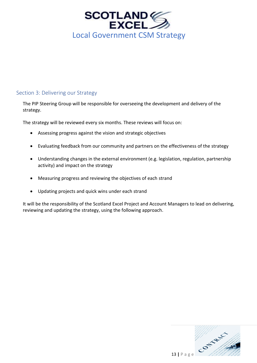

## <span id="page-12-0"></span>Section 3: Delivering our Strategy

The PIP Steering Group will be responsible for overseeing the development and delivery of the strategy.

The strategy will be reviewed every six months. These reviews will focus on:

- Assessing progress against the vision and strategic objectives
- Evaluating feedback from our community and partners on the effectiveness of the strategy
- Understanding changes in the external environment (e.g. legislation, regulation, partnership activity) and impact on the strategy
- Measuring progress and reviewing the objectives of each strand
- Updating projects and quick wins under each strand

It will be the responsibility of the Scotland Excel Project and Account Managers to lead on delivering, reviewing and updating the strategy, using the following approach.

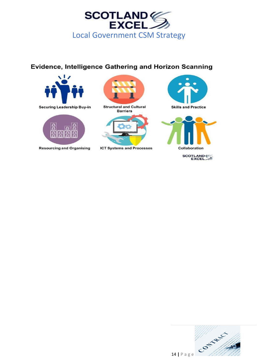

## Evidence, Intelligence Gathering and Horizon Scanning





**Resourcing and Organising** 



**Structural and Cultural Barriers** 



**ICT Systems and Processes** 





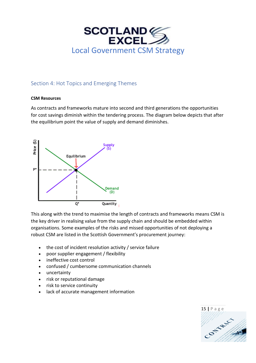

## <span id="page-14-0"></span>Section 4: Hot Topics and Emerging Themes

## **CSM Resources**

As contracts and frameworks mature into second and third generations the opportunities for cost savings diminish within the tendering process. The diagram below depicts that after the equilibrium point the value of supply and demand diminishes.



This along with the trend to maximise the length of contracts and frameworks means CSM is the key driver in realising value from the supply chain and should be embedded within organisations. Some examples of the risks and missed opportunities of not deploying a robust CSM are listed in the Scottish Government's procurement journey:

- the cost of incident resolution activity / service failure
- poor supplier engagement / flexibility
- ineffective cost control
- confused / cumbersome communication channels
- uncertainty
- risk or reputational damage
- risk to service continuity
- lack of accurate management information

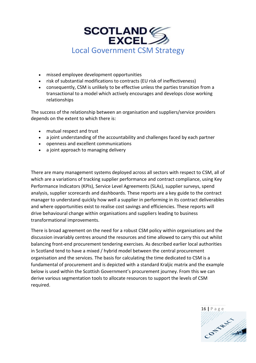

- missed employee development opportunities
- risk of substantial modifications to contracts (EU risk of ineffectiveness)
- consequently, CSM is unlikely to be effective unless the parties transition from a transactional to a model which actively encourages and develops close working relationships

The success of the relationship between an organisation and suppliers/service providers depends on the extent to which there is:

- mutual respect and trust
- a joint understanding of the accountability and challenges faced by each partner
- openness and excellent communications
- a joint approach to managing delivery

There are many management systems deployed across all sectors with respect to CSM, all of which are a variations of tracking supplier performance and contract compliance, using Key Performance Indicators (KPIs), Service Level Agreements (SLAs), supplier surveys, spend analysis, supplier scorecards and dashboards. These reports are a key guide to the contract manager to understand quickly how well a supplier in performing in its contract deliverables and where opportunities exist to realise cost savings and efficiencies. These reports will drive behavioural change within organisations and suppliers leading to business transformational improvements.

There is broad agreement on the need for a robust CSM policy within organisations and the discussion invariably centres around the resources and time allowed to carry this out whilst balancing front-end procurement tendering exercises. As described earlier local authorities in Scotland tend to have a mixed / hybrid model between the central procurement organisation and the services. The basis for calculating the time dedicated to CSM is a fundamental of procurement and is depicted with a standard Kraljic matrix and the example below is used within the Scottish Government's procurement journey. From this we can derive various segmentation tools to allocate resources to support the levels of CSM required.

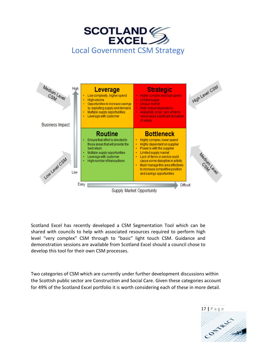



Scotland Excel has recently developed a CSM Segmentation Tool which can be shared with councils to help with associated resources required to perform high level "very complex" CSM through to "basic" light touch CSM. Guidance and demonstration sessions are available from Scotland Excel should a council chose to develop this tool for their own CSM processes.

Two categories of CSM which are currently under further development discussions within the Scottish public sector are Construction and Social Care. Given these categories account for 49% of the Scotland Excel portfolio it is worth considering each of these in more detail.

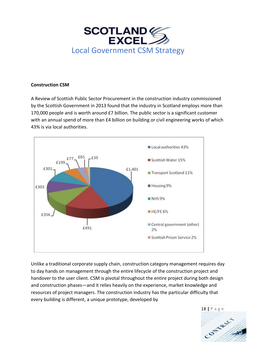

#### **Construction CSM**

A Review of Scottish Public Sector Procurement in the construction industry commissioned by the Scottish Government in 2013 found that the industry in Scotland employs more than 170,000 people and is worth around £7 billion. The public sector is a significant customer with an annual spend of more than £4 billion on building or civil engineering works of which 43% is via local authorities.



Unlike a traditional corporate supply chain, construction category management requires day to day hands on management through the entire lifecycle of the construction project and handover to the user client. CSM is pivotal throughout the entire project during both design and construction phases—and it relies heavily on the experience, market knowledge and resources of project managers. The [construction industry](https://www.designingbuildings.co.uk/wiki/Construction_industry) has the particular difficulty that every [building](https://www.designingbuildings.co.uk/wiki/Building) is different, a unique prototype, developed by

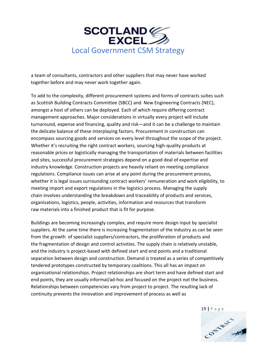

a [team](https://www.designingbuildings.co.uk/wiki/Team) of [consultants,](https://www.designingbuildings.co.uk/wiki/Consultants) [contractors](https://www.designingbuildings.co.uk/wiki/Contractors) and other [suppliers](https://www.designingbuildings.co.uk/wiki/Supplier) that may never have worked together before and may never [work](https://www.designingbuildings.co.uk/wiki/Works) together again.

To add to the complexity, different [procurement systems](https://www.designingbuildings.co.uk/wiki/Procurement_system) and forms of contracts suites such as Scottish Building Contracts Committee (SBCC) and New Engineering Contracts (NEC), amongst a host of others can be deployed. Each of which require differing contract management approaches. Major considerations in virtually every project will include turnaround, expense and financing, quality and risk—and it can be a challenge to maintain the delicate balance of these interplaying factors. Procurement in construction can encompass sourcing goods and services on every level throughout the scope of the project. Whether it's recruiting the right contract workers, sourcing high-quality products at reasonable prices or logistically managing the transportation of materials between facilities and sites, successful procurement strategies depend on a good deal of expertise and industry knowledge. Construction projects are heavily reliant on meeting compliance regulations. Compliance issues can arise at any point during the procurement process, whether it is legal issues surrounding contract workers' remuneration and work eligibility, to meeting import and export regulations in the logistics process. Managing the [supply](https://www.designingbuildings.co.uk/wiki/Supply_chain)  [chain](https://www.designingbuildings.co.uk/wiki/Supply_chain) involves understanding the breakdown and [traceability](https://www.designingbuildings.co.uk/wiki/Traceability) of [products](https://www.designingbuildings.co.uk/wiki/Products) and [services,](https://www.designingbuildings.co.uk/wiki/Services) organisations, [logistics,](https://www.designingbuildings.co.uk/wiki/Logistics) people, [activities,](https://www.designingbuildings.co.uk/wiki/Activities) information and resources that transform raw [materials](https://www.designingbuildings.co.uk/wiki/Materials) into a finished [product](https://www.designingbuildings.co.uk/wiki/Products) that is fit for purpose.

[Buildings](https://www.designingbuildings.co.uk/wiki/Building) are becoming increasingly complex, and require more [design](https://www.designingbuildings.co.uk/wiki/Design) input by [specialist](https://www.designingbuildings.co.uk/wiki/Specialist) [suppliers.](https://www.designingbuildings.co.uk/wiki/Supplier) At the same time there is increasing [fragmentation](https://www.designingbuildings.co.uk/wiki/Fragmentation) of the industry as can be seen from the growth of [specialist](https://www.designingbuildings.co.uk/wiki/Specialist) [suppliers](https://www.designingbuildings.co.uk/wiki/Supplier)[/contractors,](https://www.designingbuildings.co.uk/wiki/Contractors) the proliferation of [products](https://www.designingbuildings.co.uk/wiki/Products) and the [fragmentation](https://www.designingbuildings.co.uk/wiki/Fragmentation) of [design](https://www.designingbuildings.co.uk/wiki/Design) and control [activities.](https://www.designingbuildings.co.uk/wiki/Activities) The [supply chain](https://www.designingbuildings.co.uk/wiki/Supply_chain) is relatively unstable, and the industry is [project-](https://www.designingbuildings.co.uk/wiki/Project)based with defined start and end [points](https://www.designingbuildings.co.uk/wiki/Points) and a traditional separation between [design](https://www.designingbuildings.co.uk/wiki/Design) and [construction.](https://www.designingbuildings.co.uk/wiki/Construction) Demand is treated as a series of competitively tendered prototypes constructed by temporary coalitions. This all has an impact on organisational relationships. [Project](https://www.designingbuildings.co.uk/wiki/Project) relationships are short term and have defined start and end [points,](https://www.designingbuildings.co.uk/wiki/Points) they are usually informal/ad-hoc and focused on the [project](https://www.designingbuildings.co.uk/wiki/Project) not the business. Relationships between competencies vary from [project](https://www.designingbuildings.co.uk/wiki/Project) to [project.](https://www.designingbuildings.co.uk/wiki/Project) The resulting lack of continuity prevents the [innovation](https://www.designingbuildings.co.uk/wiki/Innovation) and improvement of process as well as

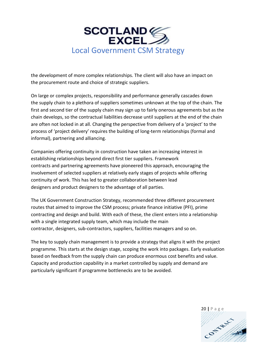

the [development](https://www.designingbuildings.co.uk/wiki/Development) of more complex relationships. The [client](https://www.designingbuildings.co.uk/wiki/Client) will also have an impact on the [procurement route](https://www.designingbuildings.co.uk/wiki/Procurement_route) and choice of strategic [suppliers.](https://www.designingbuildings.co.uk/wiki/Supplier)

On large or [complex projects,](https://www.designingbuildings.co.uk/wiki/Complex_project) responsibility and [performance](https://www.designingbuildings.co.uk/wiki/Performance) generally cascades down the [supply chain](https://www.designingbuildings.co.uk/wiki/Supply_chain) to a plethora of [suppliers](https://www.designingbuildings.co.uk/wiki/Supplier) sometimes unknown at the top of the chain. The first and second tier of the [supply chain](https://www.designingbuildings.co.uk/wiki/Supply_chain) may sign up to fairly onerous [agreements](https://www.designingbuildings.co.uk/wiki/Agreement) but as the chain develops, so the [contractual](https://www.designingbuildings.co.uk/wiki/Contractual) liabilities decrease until [suppliers](https://www.designingbuildings.co.uk/wiki/Supplier) at the end of the chain are often not locked in at all. Changing the [perspective](https://www.designingbuildings.co.uk/wiki/Perspective) from delivery of a '[project](https://www.designingbuildings.co.uk/wiki/Project)' to the process of '[project](https://www.designingbuildings.co.uk/wiki/Project) delivery' requires the [building](https://www.designingbuildings.co.uk/wiki/Building) of long-term relationships (formal and informal), [partnering](https://www.designingbuildings.co.uk/wiki/Partnering) and [alliancing.](https://www.designingbuildings.co.uk/wiki/Alliancing)

Companies offering continuity in [construction](https://www.designingbuildings.co.uk/wiki/Construction) have taken an increasing interest in establishing relationships beyond direct first tier [suppliers.](https://www.designingbuildings.co.uk/wiki/Supplier) [Framework](https://www.designingbuildings.co.uk/wiki/Framework_contract)  [contracts](https://www.designingbuildings.co.uk/wiki/Framework_contract) and [partnering agreements](https://www.designingbuildings.co.uk/wiki/Partnering_agreement) have pioneered this approach, encouraging the involvement of selected [suppliers](https://www.designingbuildings.co.uk/wiki/Supplier) at relatively early stages of [projects](https://www.designingbuildings.co.uk/wiki/Project) while offering continuity of [work.](https://www.designingbuildings.co.uk/wiki/Works) This has led to greater [collaboration](https://www.designingbuildings.co.uk/wiki/Collaboration) between [lead](https://www.designingbuildings.co.uk/wiki/Lead_designer) [designers](https://www.designingbuildings.co.uk/wiki/Lead_designer) and [product](https://www.designingbuildings.co.uk/wiki/Products) [designers](https://www.designingbuildings.co.uk/wiki/Designers) to the advantage of all parties.

The UK [Government Construction Strategy,](https://www.designingbuildings.co.uk/wiki/Government_construction_strategy) recommended three different [procurement](https://www.designingbuildings.co.uk/wiki/Procurement_route)  [routes](https://www.designingbuildings.co.uk/wiki/Procurement_route) that aimed to improve the CSM process; [private finance initiative](https://www.designingbuildings.co.uk/wiki/Private_finance_initiative) (PFI), [prime](https://www.designingbuildings.co.uk/wiki/Prime_contracting)  [contracting](https://www.designingbuildings.co.uk/wiki/Prime_contracting) and [design and build.](https://www.designingbuildings.co.uk/wiki/Design_and_build) With each of these, the [client](https://www.designingbuildings.co.uk/wiki/Client) enters into a relationship with a single [integrated supply team,](https://www.designingbuildings.co.uk/wiki/Integrated_supply_team) which may include the [main](https://www.designingbuildings.co.uk/wiki/Main_contractor)  [contractor,](https://www.designingbuildings.co.uk/wiki/Main_contractor) [designers,](https://www.designingbuildings.co.uk/wiki/Designers) [sub-contractors,](https://www.designingbuildings.co.uk/wiki/Sub-contractors) [suppliers,](https://www.designingbuildings.co.uk/wiki/Supplier) [facilities managers](https://www.designingbuildings.co.uk/wiki/Facilities_manager) and so on.

The key to [supply chain management](https://www.designingbuildings.co.uk/wiki/Supply_chain_management) is to provide a strategy that aligns it with the [project](https://www.designingbuildings.co.uk/wiki/Project_programme)  [programme.](https://www.designingbuildings.co.uk/wiki/Project_programme) This starts at the [design stage,](https://www.designingbuildings.co.uk/wiki/Design_stage) scoping the [work](https://www.designingbuildings.co.uk/wiki/Works) into [packages.](https://www.designingbuildings.co.uk/wiki/Packages) Early evaluation based on feedback from the [supply chain](https://www.designingbuildings.co.uk/wiki/Supply_chain) can produce enormous [cost](https://www.designingbuildings.co.uk/wiki/Cost) benefits and value. Capacity and production capability in a market controlled by [supply](https://www.designingbuildings.co.uk/wiki/Supply) and demand are particularly significant if [programme](https://www.designingbuildings.co.uk/wiki/Programme) bottlenecks are to be avoided.

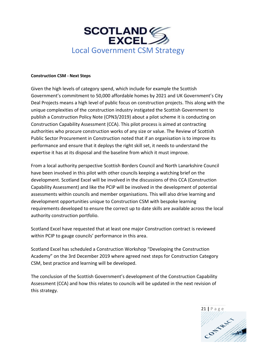

#### **Construction CSM - Next Steps**

Given the high levels of category spend, which include for example the Scottish Government's commitment to 50,000 affordable homes by 2021 and UK Government's City Deal Projects means a high level of public focus on construction projects. This along with the unique complexities of the construction industry instigated the Scottish Government to publish a Construction Policy Note (CPN3/2019) about a pilot scheme it is conducting on Construction Capability Assessment (CCA). This pilot process is aimed at contracting authorities who procure construction works of any size or value. The [Review of Scottish](https://www.gov.scot/publications/review-scottish-public-sector-procurement-construction/)  [Public Sector Procurement in Construction](https://www.gov.scot/publications/review-scottish-public-sector-procurement-construction/) noted that if an organisation is to improve its performance and ensure that it deploys the right skill set, it needs to understand the expertise it has at its disposal and the baseline from which it must improve.

From a local authority perspective Scottish Borders Council and North Lanarkshire Council have been involved in this pilot with other councils keeping a watching brief on the development. Scotland Excel will be involved in the discussions of this CCA (Construction Capability Assessment) and like the PCIP will be involved in the development of potential assessments within councils and member organisations. This will also drive learning and development opportunities unique to Construction CSM with bespoke learning requirements developed to ensure the correct up to date skills are available across the local authority construction portfolio.

Scotland Excel have requested that at least one major Construction contract is reviewed within PCIP to gauge councils' performance in this area.

Scotland Excel has scheduled a Construction Workshop "Developing the Construction Academy" on the 3rd December 2019 where agreed next steps for Construction Category CSM, best practice and learning will be developed.

The conclusion of the Scottish Government's development of the Construction Capability Assessment (CCA) and how this relates to councils will be updated in the next revision of this strategy.

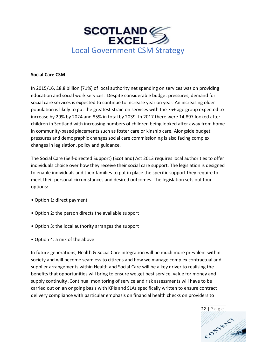

## **Social Care CSM**

In 2015/16, £8.8 billion (71%) of local authority net spending on services was on providing education and social work services. Despite considerable budget pressures, demand for social care services is expected to continue to increase year on year. An increasing older population is likely to put the greatest strain on services with the 75+ age group expected to increase by 29% by 2024 and 85% in total by 2039. In 2017 there were 14,897 looked after children in Scotland with increasing numbers of children being looked after away from home in community-based placements such as foster care or kinship care. Alongside budget pressures and demographic changes social care commissioning is also facing complex changes in legislation, policy and guidance.

The Social Care (Self-directed Support) (Scotland) Act 2013 requires local authorities to offer individuals choice over how they receive their social care support. The legislation is designed to enable individuals and their families to put in place the specific support they require to meet their personal circumstances and desired outcomes. The legislation sets out four options:

- Option 1: direct payment
- Option 2: the person directs the available support
- Option 3: the local authority arranges the support
- Option 4: a mix of the above

In future generations, Health & Social Care integration will be much more prevalent within society and will become seamless to citizens and how we manage complex contractual and supplier arrangements within Health and Social Care will be a key driver to realising the benefits that opportunities will bring to ensure we get best service, value for money and supply continuity .Continual monitoring of service and risk assessments will have to be carried out on an ongoing basis with KPIs and SLAs specifically written to ensure contract delivery compliance with particular emphasis on financial health checks on providers to

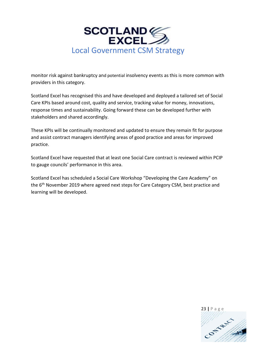

monitor risk against bankruptcy and potential insolvency events as this is more common with providers in this category.

Scotland Excel has recognised this and have developed and deployed a tailored set of Social Care KPIs based around cost, quality and service, tracking value for money, innovations, response times and sustainability. Going forward these can be developed further with stakeholders and shared accordingly.

These KPIs will be continually monitored and updated to ensure they remain fit for purpose and assist contract managers identifying areas of good practice and areas for improved practice.

Scotland Excel have requested that at least one Social Care contract is reviewed within PCIP to gauge councils' performance in this area.

Scotland Excel has scheduled a Social Care Workshop "Developing the Care Academy" on the 6<sup>th</sup> November 2019 where agreed next steps for Care Category CSM, best practice and learning will be developed.

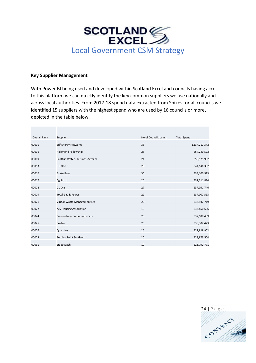

#### **Key Supplier Management**

With Power BI being used and developed within Scotland Excel and councils having access to this platform we can quickly identify the key common suppliers we use nationally and across local authorities. From 2017-18 spend data extracted from Spikes for all councils we identified 15 suppliers with the highest spend who are used by 16 councils or more, depicted in the table below.

| <b>Overall Rank</b> | Supplier                         | No of Councils Using | <b>Total Spend</b> |
|---------------------|----------------------------------|----------------------|--------------------|
| 00001               | <b>Edf Energy Networks</b>       | 33                   | £137,217,342       |
| 00006               | Richmond Fellowship              | 28                   | £57,240,572        |
| 00009               | Scottish Water - Business Stream | 21                   | £50,975,952        |
| 00013               | HC One                           | 20                   | £44,146,332        |
| 00016               | <b>Brake Bros</b>                | 30                   | £38,100,923        |
| 00017               | Cgi It Uk                        | 26                   | £37,211,874        |
| 00018               | Gb Oils                          | 27                   | £37,051,746        |
| 00019               | <b>Total Gas &amp; Power</b>     | 29                   | £37,007,513        |
| 00021               | Viridor Waste Management Ltd     | 20                   | £34,937,719        |
| 00022               | <b>Key Housing Association</b>   | 16                   | £34,850,666        |
| 00024               | Cornerstone Community Care       | 23                   | £32,588,489        |
| 00025               | Enable                           | 25                   | £30,302,423        |
| 00026               | Quarriers                        | 26                   | £29,828,902        |
| 00028               | <b>Turning Point Scotland</b>    | 20                   | £28,873,504        |
| 00031               | Stagecoach                       | 19                   | £25,792,771        |

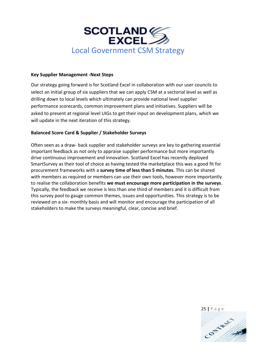

## **Key Supplier Management -Next Steps**

Our strategy going forward is for Scotland Excel in collaboration with our user councils to select an initial group of six suppliers that we can apply CSM at a sectorial level as well as drilling down to local levels which ultimately can provide national level supplier performance scorecards, common improvement plans and initiatives. Suppliers will be asked to present at regional level UIGs to get their input on development plans, which we will update in the next iteration of this strategy.

## **Balanced Score Card & Supplier / Stakeholder Surveys**

Often seen as a draw- back supplier and stakeholder surveys are key to gathering essential important feedback as not only to appraise supplier performance but more importantly drive continuous improvement and innovation. Scotland Excel has recently deployed SmartSurvey as their tool of choice as having tested the marketplace this was a good fit for procurement frameworks with a **survey time of less than 5 minutes**. This can be shared with members as required or members can use their own tools, however more importantly to realise the collaboration benefits **we must encourage more participation in the surveys**. Typically, the feedback we receive is less than one third of members and it is difficult from this survey pool to gauge common themes, issues and opportunities. This strategy is to be reviewed on a six- monthly basis and will monitor and encourage the participation of all stakeholders to make the surveys meaningful, clear, concise and brief.

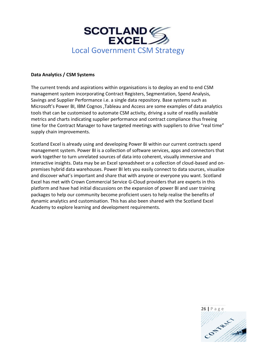

#### **Data Analytics / CSM Systems**

The current trends and aspirations within organisations is to deploy an end to end CSM management system incorporating Contract Registers, Segmentation, Spend Analysis, Savings and Supplier Performance i.e. a single data repository. Base systems such as Microsoft's Power BI, IBM Cognos ,Tableau and Access are some examples of data analytics tools that can be customised to automate CSM activity, driving a suite of readily available metrics and charts indicating supplier performance and contract compliance thus freeing time for the Contract Manager to have targeted meetings with suppliers to drive "real time" supply chain improvements.

Scotland Excel is already using and developing Power BI within our current contracts spend management system. Power BI is a collection of software services, apps and connectors that work together to turn unrelated sources of data into coherent, visually immersive and interactive insights. Data may be an Excel spreadsheet or a collection of cloud-based and onpremises hybrid data warehouses. Power BI lets you easily connect to data sources, visualize and discover what's important and share that with anyone or everyone you want. Scotland Excel has met with Crown Commercial Service G-Cloud providers that are experts in this platform and have had initial discussions on the expansion of power BI and user training packages to help our community become proficient users to help realise the benefits of dynamic analytics and customisation. This has also been shared with the Scotland Excel Academy to explore learning and development requirements.

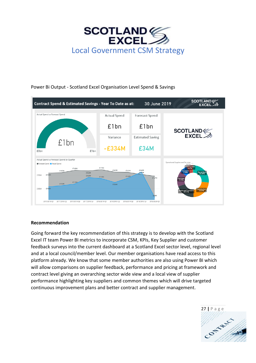



## Power Bi Output - Scotland Excel Organisation Level Spend & Savings

## **Recommendation**

Going forward the key recommendation of this strategy is to develop with the Scotland Excel IT team Power BI metrics to incorporate CSM, KPIs, Key Supplier and customer feedback surveys into the current dashboard at a Scotland Excel sector level, regional level and at a local council/member level. Our member organisations have read access to this platform already. We know that some member authorities are also using Power BI which will allow comparisons on supplier feedback, performance and pricing at framework and contract level giving an overarching sector wide view and a local view of supplier performance highlighting key suppliers and common themes which will drive targeted continuous improvement plans and better contract and supplier management.